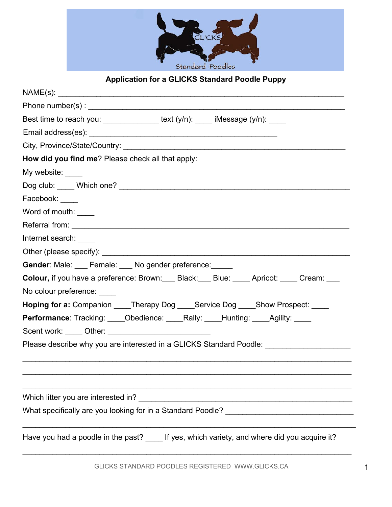

## **Application for a GLICKS Standard Poodle Puppy**

| Best time to reach you: ______________ text (y/n): ____ iMessage (y/n): ____                  |  |  |  |  |
|-----------------------------------------------------------------------------------------------|--|--|--|--|
|                                                                                               |  |  |  |  |
|                                                                                               |  |  |  |  |
| How did you find me? Please check all that apply:                                             |  |  |  |  |
| My website: ____                                                                              |  |  |  |  |
|                                                                                               |  |  |  |  |
| Facebook:                                                                                     |  |  |  |  |
| Word of mouth: ____                                                                           |  |  |  |  |
|                                                                                               |  |  |  |  |
| Internet search:                                                                              |  |  |  |  |
|                                                                                               |  |  |  |  |
| Gender: Male: ___ Female: ___ No gender preference: _____                                     |  |  |  |  |
| Colour, if you have a preference: Brown: Black: Blue: Mate: Apricot: Cream: Mate              |  |  |  |  |
| No colour preference:                                                                         |  |  |  |  |
| <b>Hoping for a:</b> Companion ____Therapy Dog ____Service Dog ____Show Prospect: ____        |  |  |  |  |
| <b>Performance:</b> Tracking: ____Obedience: ____Rally: ____Hunting: ____Agility: ____        |  |  |  |  |
|                                                                                               |  |  |  |  |
| Please describe why you are interested in a GLICKS Standard Poodle:                           |  |  |  |  |
|                                                                                               |  |  |  |  |
|                                                                                               |  |  |  |  |
|                                                                                               |  |  |  |  |
| Which litter you are interested in?<br><u> 1980 - Jan Barnett, fransk politik (d. 1980)</u>   |  |  |  |  |
| What specifically are you looking for in a Standard Poodle? ___________________________       |  |  |  |  |
|                                                                                               |  |  |  |  |
| Have you had a poodle in the past? _____ If yes, which variety, and where did you acquire it? |  |  |  |  |

\_\_\_\_\_\_\_\_\_\_\_\_\_\_\_\_\_\_\_\_\_\_\_\_\_\_\_\_\_\_\_\_\_\_\_\_\_\_\_\_\_\_\_\_\_\_\_\_\_\_\_\_\_\_\_\_\_\_\_\_\_\_\_\_\_\_\_\_\_\_\_\_\_\_\_\_\_